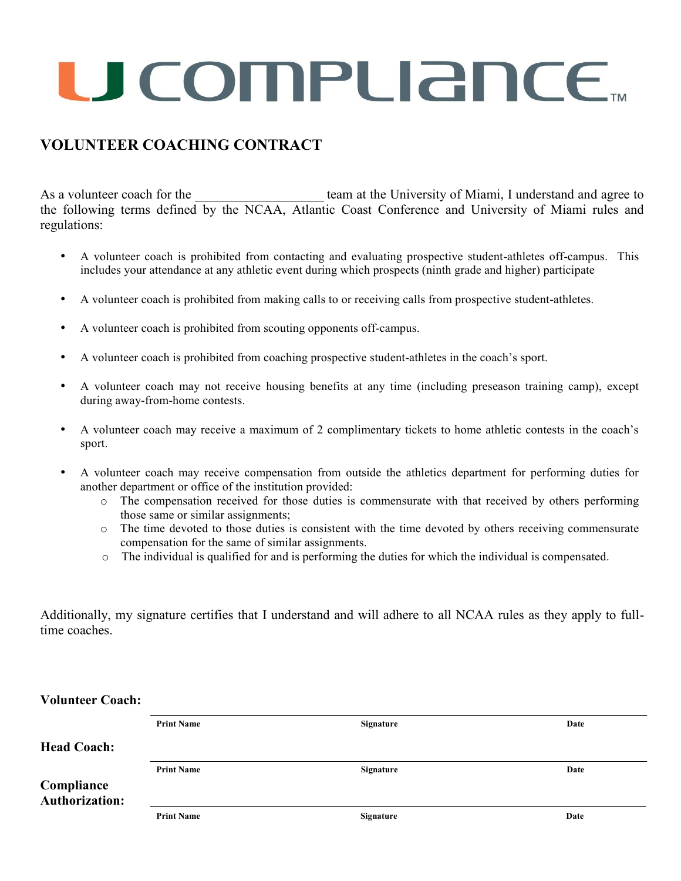# U COMPUANCE...

# **VOLUNTEER COACHING CONTRACT**

As a volunteer coach for the team at the University of Miami, I understand and agree to the following terms defined by the NCAA, Atlantic Coast Conference and University of Miami rules and regulations:

- A volunteer coach is prohibited from contacting and evaluating prospective student-athletes off-campus. This includes your attendance at any athletic event during which prospects (ninth grade and higher) participate
- A volunteer coach is prohibited from making calls to or receiving calls from prospective student-athletes.
- A volunteer coach is prohibited from scouting opponents off-campus.
- A volunteer coach is prohibited from coaching prospective student-athletes in the coach's sport.
- A volunteer coach may not receive housing benefits at any time (including preseason training camp), except during away-from-home contests.
- A volunteer coach may receive a maximum of 2 complimentary tickets to home athletic contests in the coach's sport.
- A volunteer coach may receive compensation from outside the athletics department for performing duties for another department or office of the institution provided:
	- o The compensation received for those duties is commensurate with that received by others performing those same or similar assignments;
	- o The time devoted to those duties is consistent with the time devoted by others receiving commensurate compensation for the same of similar assignments.
	- o The individual is qualified for and is performing the duties for which the individual is compensated.

Additionally, my signature certifies that I understand and will adhere to all NCAA rules as they apply to fulltime coaches.

**Head Coach: Print Name Signature Date Compliance Print Name Signature Date Authorization: Print Name Signature Date**

# **Volunteer Coach:**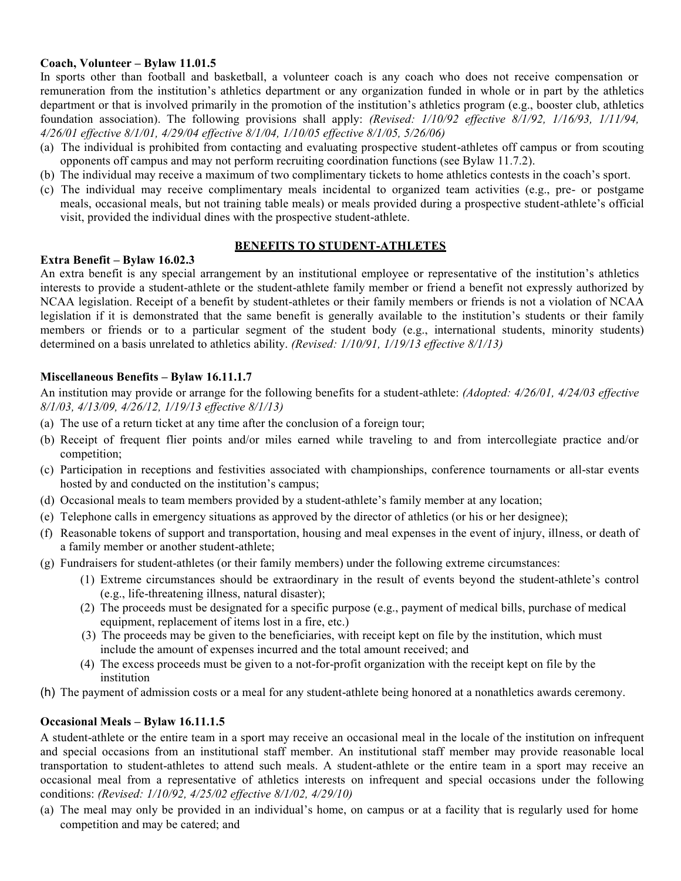# **Coach, Volunteer – Bylaw 11.01.5**

In sports other than football and basketball, a volunteer coach is any coach who does not receive compensation or remuneration from the institution's athletics department or any organization funded in whole or in part by the athletics department or that is involved primarily in the promotion of the institution's athletics program (e.g., booster club, athletics foundation association). The following provisions shall apply: *(Revised: 1/10/92 effective 8/1/92, 1/16/93, 1/11/94, 4/26/01 effective 8/1/01, 4/29/04 effective 8/1/04, 1/10/05 effective 8/1/05, 5/26/06)*

- (a) The individual is prohibited from contacting and evaluating prospective student-athletes off campus or from scouting opponents off campus and may not perform recruiting coordination functions (see Bylaw 11.7.2).
- (b) The individual may receive a maximum of two complimentary tickets to home athletics contests in the coach's sport.
- (c) The individual may receive complimentary meals incidental to organized team activities (e.g., pre- or postgame meals, occasional meals, but not training table meals) or meals provided during a prospective student-athlete's official visit, provided the individual dines with the prospective student-athlete.

# **BENEFITS TO STUDENT-ATHLETES**

# **Extra Benefit – Bylaw 16.02.3**

An extra benefit is any special arrangement by an institutional employee or representative of the institution's athletics interests to provide a student-athlete or the student-athlete family member or friend a benefit not expressly authorized by NCAA legislation. Receipt of a benefit by student-athletes or their family members or friends is not a violation of NCAA legislation if it is demonstrated that the same benefit is generally available to the institution's students or their family members or friends or to a particular segment of the student body (e.g., international students, minority students) determined on a basis unrelated to athletics ability. *(Revised: 1/10/91, 1/19/13 effective 8/1/13)*

# **Miscellaneous Benefits – Bylaw 16.11.1.7**

An institution may provide or arrange for the following benefits for a student-athlete: *(Adopted: 4/26/01, 4/24/03 effective 8/1/03, 4/13/09, 4/26/12, 1/19/13 effective 8/1/13)*

- (a) The use of a return ticket at any time after the conclusion of a foreign tour;
- (b) Receipt of frequent flier points and/or miles earned while traveling to and from intercollegiate practice and/or competition;
- (c) Participation in receptions and festivities associated with championships, conference tournaments or all-star events hosted by and conducted on the institution's campus;
- (d) Occasional meals to team members provided by a student-athlete's family member at any location;
- (e) Telephone calls in emergency situations as approved by the director of athletics (or his or her designee);
- (f) Reasonable tokens of support and transportation, housing and meal expenses in the event of injury, illness, or death of a family member or another student-athlete;
- (g) Fundraisers for student-athletes (or their family members) under the following extreme circumstances:
	- (1) Extreme circumstances should be extraordinary in the result of events beyond the student-athlete's control (e.g., life-threatening illness, natural disaster);
	- (2) The proceeds must be designated for a specific purpose (e.g., payment of medical bills, purchase of medical equipment, replacement of items lost in a fire, etc.)
	- (3) The proceeds may be given to the beneficiaries, with receipt kept on file by the institution, which must include the amount of expenses incurred and the total amount received; and
	- (4) The excess proceeds must be given to a not-for-profit organization with the receipt kept on file by the institution
- (h) The payment of admission costs or a meal for any student-athlete being honored at a nonathletics awards ceremony.

# **Occasional Meals – Bylaw 16.11.1.5**

A student-athlete or the entire team in a sport may receive an occasional meal in the locale of the institution on infrequent and special occasions from an institutional staff member. An institutional staff member may provide reasonable local transportation to student-athletes to attend such meals. A student-athlete or the entire team in a sport may receive an occasional meal from a representative of athletics interests on infrequent and special occasions under the following conditions: *(Revised: 1/10/92, 4/25/02 effective 8/1/02, 4/29/10)*

(a) The meal may only be provided in an individual's home, on campus or at a facility that is regularly used for home competition and may be catered; and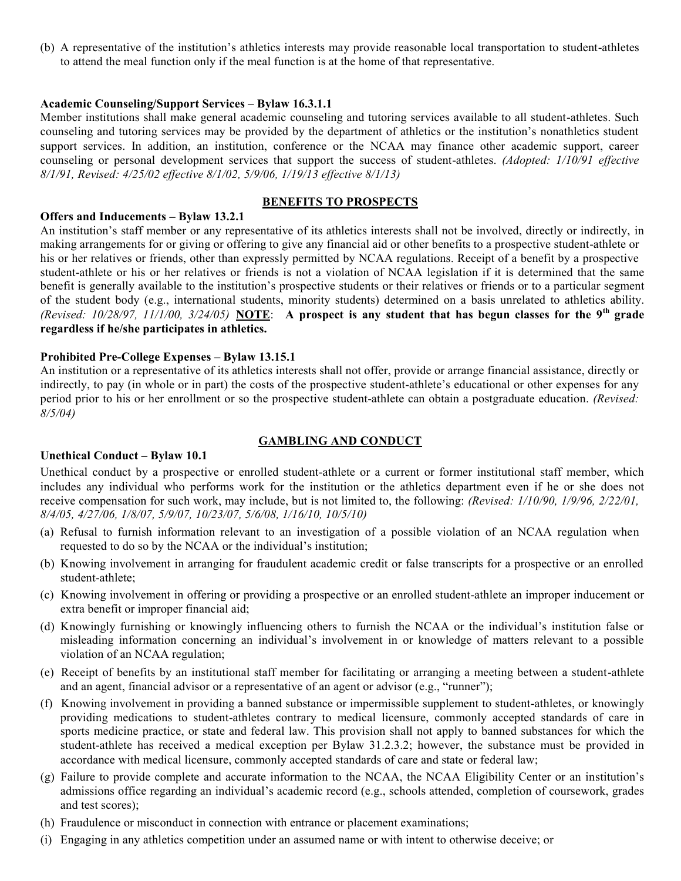(b) A representative of the institution's athletics interests may provide reasonable local transportation to student-athletes to attend the meal function only if the meal function is at the home of that representative.

# **Academic Counseling/Support Services – Bylaw 16.3.1.1**

Member institutions shall make general academic counseling and tutoring services available to all student-athletes. Such counseling and tutoring services may be provided by the department of athletics or the institution's nonathletics student support services. In addition, an institution, conference or the NCAA may finance other academic support, career counseling or personal development services that support the success of student-athletes. *(Adopted: 1/10/91 effective 8/1/91, Revised: 4/25/02 effective 8/1/02, 5/9/06, 1/19/13 effective 8/1/13)*

### **BENEFITS TO PROSPECTS**

### **Offers and Inducements – Bylaw 13.2.1**

An institution's staff member or any representative of its athletics interests shall not be involved, directly or indirectly, in making arrangements for or giving or offering to give any financial aid or other benefits to a prospective student-athlete or his or her relatives or friends, other than expressly permitted by NCAA regulations. Receipt of a benefit by a prospective student-athlete or his or her relatives or friends is not a violation of NCAA legislation if it is determined that the same benefit is generally available to the institution's prospective students or their relatives or friends or to a particular segment of the student body (e.g., international students, minority students) determined on a basis unrelated to athletics ability. (Revised: 10/28/97, 11/1/00, 3/24/05) NOTE: A prospect is any student that has begun classes for the 9<sup>th</sup> grade **regardless if he/she participates in athletics.**

### **Prohibited Pre-College Expenses – Bylaw 13.15.1**

An institution or a representative of its athletics interests shall not offer, provide or arrange financial assistance, directly or indirectly, to pay (in whole or in part) the costs of the prospective student-athlete's educational or other expenses for any period prior to his or her enrollment or so the prospective student-athlete can obtain a postgraduate education. *(Revised: 8/5/04)*

# **GAMBLING AND CONDUCT**

### **Unethical Conduct – Bylaw 10.1**

Unethical conduct by a prospective or enrolled student-athlete or a current or former institutional staff member, which includes any individual who performs work for the institution or the athletics department even if he or she does not receive compensation for such work, may include, but is not limited to, the following: *(Revised: 1/10/90, 1/9/96, 2/22/01, 8/4/05, 4/27/06, 1/8/07, 5/9/07, 10/23/07, 5/6/08, 1/16/10, 10/5/10)*

- (a) Refusal to furnish information relevant to an investigation of a possible violation of an NCAA regulation when requested to do so by the NCAA or the individual's institution;
- (b) Knowing involvement in arranging for fraudulent academic credit or false transcripts for a prospective or an enrolled student-athlete;
- (c) Knowing involvement in offering or providing a prospective or an enrolled student-athlete an improper inducement or extra benefit or improper financial aid;
- (d) Knowingly furnishing or knowingly influencing others to furnish the NCAA or the individual's institution false or misleading information concerning an individual's involvement in or knowledge of matters relevant to a possible violation of an NCAA regulation;
- (e) Receipt of benefits by an institutional staff member for facilitating or arranging a meeting between a student-athlete and an agent, financial advisor or a representative of an agent or advisor (e.g., "runner");
- (f) Knowing involvement in providing a banned substance or impermissible supplement to student-athletes, or knowingly providing medications to student-athletes contrary to medical licensure, commonly accepted standards of care in sports medicine practice, or state and federal law. This provision shall not apply to banned substances for which the student-athlete has received a medical exception per Bylaw 31.2.3.2; however, the substance must be provided in accordance with medical licensure, commonly accepted standards of care and state or federal law;
- (g) Failure to provide complete and accurate information to the NCAA, the NCAA Eligibility Center or an institution's admissions office regarding an individual's academic record (e.g., schools attended, completion of coursework, grades and test scores);
- (h) Fraudulence or misconduct in connection with entrance or placement examinations;
- (i) Engaging in any athletics competition under an assumed name or with intent to otherwise deceive; or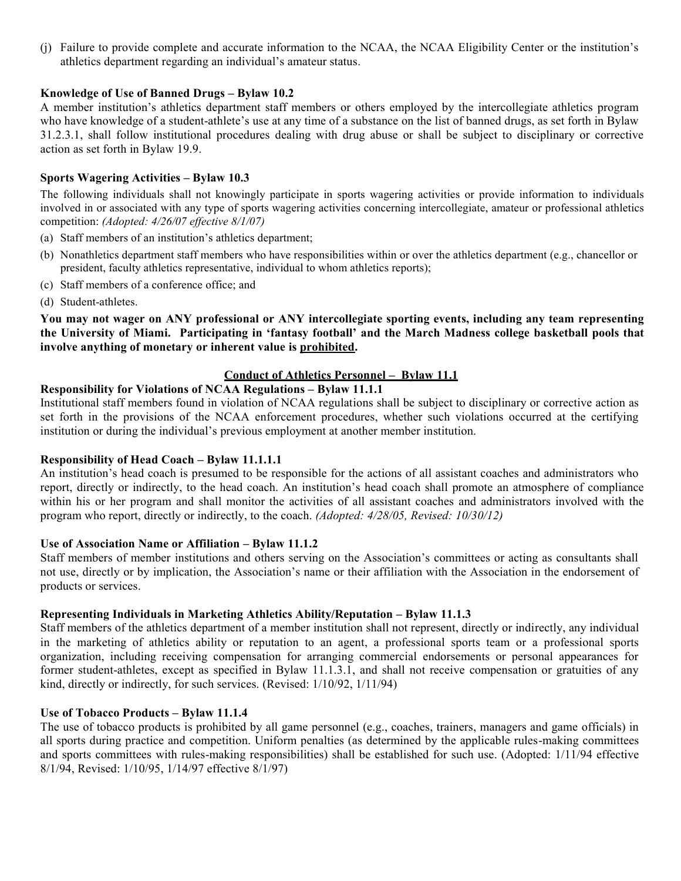(j) Failure to provide complete and accurate information to the NCAA, the NCAA Eligibility Center or the institution's athletics department regarding an individual's amateur status.

# **Knowledge of Use of Banned Drugs – Bylaw 10.2**

A member institution's athletics department staff members or others employed by the intercollegiate athletics program who have knowledge of a student-athlete's use at any time of a substance on the list of banned drugs, as set forth in Bylaw 31.2.3.1, shall follow institutional procedures dealing with drug abuse or shall be subject to disciplinary or corrective action as set forth in Bylaw 19.9.

# **Sports Wagering Activities – Bylaw 10.3**

The following individuals shall not knowingly participate in sports wagering activities or provide information to individuals involved in or associated with any type of sports wagering activities concerning intercollegiate, amateur or professional athletics competition: *(Adopted: 4/26/07 effective 8/1/07)*

- (a) Staff members of an institution's athletics department;
- (b) Nonathletics department staff members who have responsibilities within or over the athletics department (e.g., chancellor or president, faculty athletics representative, individual to whom athletics reports);
- (c) Staff members of a conference office; and
- (d) Student-athletes.

**You may not wager on ANY professional or ANY intercollegiate sporting events, including any team representing the University of Miami. Participating in 'fantasy football' and the March Madness college basketball pools that involve anything of monetary or inherent value is prohibited.**

# **Conduct of Athletics Personnel – Bylaw 11.1**

# **Responsibility for Violations of NCAA Regulations – Bylaw 11.1.1**

Institutional staff members found in violation of NCAA regulations shall be subject to disciplinary or corrective action as set forth in the provisions of the NCAA enforcement procedures, whether such violations occurred at the certifying institution or during the individual's previous employment at another member institution.

# **Responsibility of Head Coach – Bylaw 11.1.1.1**

An institution's head coach is presumed to be responsible for the actions of all assistant coaches and administrators who report, directly or indirectly, to the head coach. An institution's head coach shall promote an atmosphere of compliance within his or her program and shall monitor the activities of all assistant coaches and administrators involved with the program who report, directly or indirectly, to the coach. *(Adopted: 4/28/05, Revised: 10/30/12)*

# **Use of Association Name or Affiliation – Bylaw 11.1.2**

Staff members of member institutions and others serving on the Association's committees or acting as consultants shall not use, directly or by implication, the Association's name or their affiliation with the Association in the endorsement of products or services.

# **Representing Individuals in Marketing Athletics Ability/Reputation – Bylaw 11.1.3**

Staff members of the athletics department of a member institution shall not represent, directly or indirectly, any individual in the marketing of athletics ability or reputation to an agent, a professional sports team or a professional sports organization, including receiving compensation for arranging commercial endorsements or personal appearances for former student-athletes, except as specified in Bylaw 11.1.3.1, and shall not receive compensation or gratuities of any kind, directly or indirectly, for such services. (Revised: 1/10/92, 1/11/94)

# **Use of Tobacco Products – Bylaw 11.1.4**

The use of tobacco products is prohibited by all game personnel (e.g., coaches, trainers, managers and game officials) in all sports during practice and competition. Uniform penalties (as determined by the applicable rules-making committees and sports committees with rules-making responsibilities) shall be established for such use. (Adopted: 1/11/94 effective 8/1/94, Revised: 1/10/95, 1/14/97 effective 8/1/97)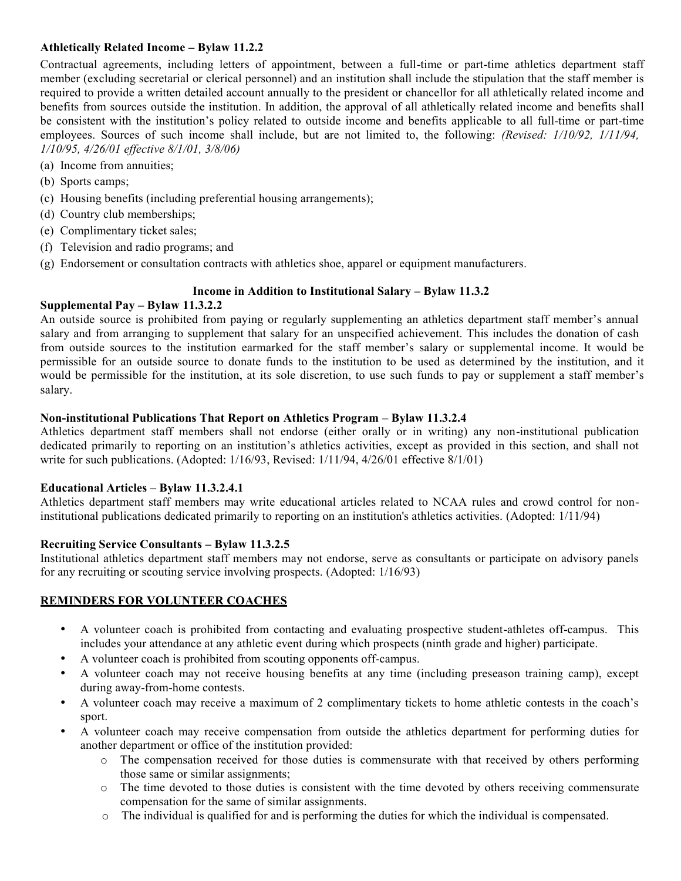# **Athletically Related Income – Bylaw 11.2.2**

Contractual agreements, including letters of appointment, between a full-time or part-time athletics department staff member (excluding secretarial or clerical personnel) and an institution shall include the stipulation that the staff member is required to provide a written detailed account annually to the president or chancellor for all athletically related income and benefits from sources outside the institution. In addition, the approval of all athletically related income and benefits shall be consistent with the institution's policy related to outside income and benefits applicable to all full-time or part-time employees. Sources of such income shall include, but are not limited to, the following: *(Revised: 1/10/92, 1/11/94, 1/10/95, 4/26/01 effective 8/1/01, 3/8/06)*

- (a) Income from annuities;
- (b) Sports camps;
- (c) Housing benefits (including preferential housing arrangements);
- (d) Country club memberships;
- (e) Complimentary ticket sales;
- (f) Television and radio programs; and
- (g) Endorsement or consultation contracts with athletics shoe, apparel or equipment manufacturers.

# **Income in Addition to Institutional Salary – Bylaw 11.3.2**

# **Supplemental Pay – Bylaw 11.3.2.2**

An outside source is prohibited from paying or regularly supplementing an athletics department staff member's annual salary and from arranging to supplement that salary for an unspecified achievement. This includes the donation of cash from outside sources to the institution earmarked for the staff member's salary or supplemental income. It would be permissible for an outside source to donate funds to the institution to be used as determined by the institution, and it would be permissible for the institution, at its sole discretion, to use such funds to pay or supplement a staff member's salary.

# **Non-institutional Publications That Report on Athletics Program – Bylaw 11.3.2.4**

Athletics department staff members shall not endorse (either orally or in writing) any non-institutional publication dedicated primarily to reporting on an institution's athletics activities, except as provided in this section, and shall not write for such publications. (Adopted: 1/16/93, Revised: 1/11/94, 4/26/01 effective 8/1/01)

# **Educational Articles – Bylaw 11.3.2.4.1**

Athletics department staff members may write educational articles related to NCAA rules and crowd control for noninstitutional publications dedicated primarily to reporting on an institution's athletics activities. (Adopted: 1/11/94)

# **Recruiting Service Consultants – Bylaw 11.3.2.5**

Institutional athletics department staff members may not endorse, serve as consultants or participate on advisory panels for any recruiting or scouting service involving prospects. (Adopted: 1/16/93)

# **REMINDERS FOR VOLUNTEER COACHES**

- A volunteer coach is prohibited from contacting and evaluating prospective student-athletes off-campus. This includes your attendance at any athletic event during which prospects (ninth grade and higher) participate.
- A volunteer coach is prohibited from scouting opponents off-campus.
- A volunteer coach may not receive housing benefits at any time (including preseason training camp), except during away-from-home contests.
- A volunteer coach may receive a maximum of 2 complimentary tickets to home athletic contests in the coach's sport.
- A volunteer coach may receive compensation from outside the athletics department for performing duties for another department or office of the institution provided:
	- o The compensation received for those duties is commensurate with that received by others performing those same or similar assignments;
	- o The time devoted to those duties is consistent with the time devoted by others receiving commensurate compensation for the same of similar assignments.
	- o The individual is qualified for and is performing the duties for which the individual is compensated.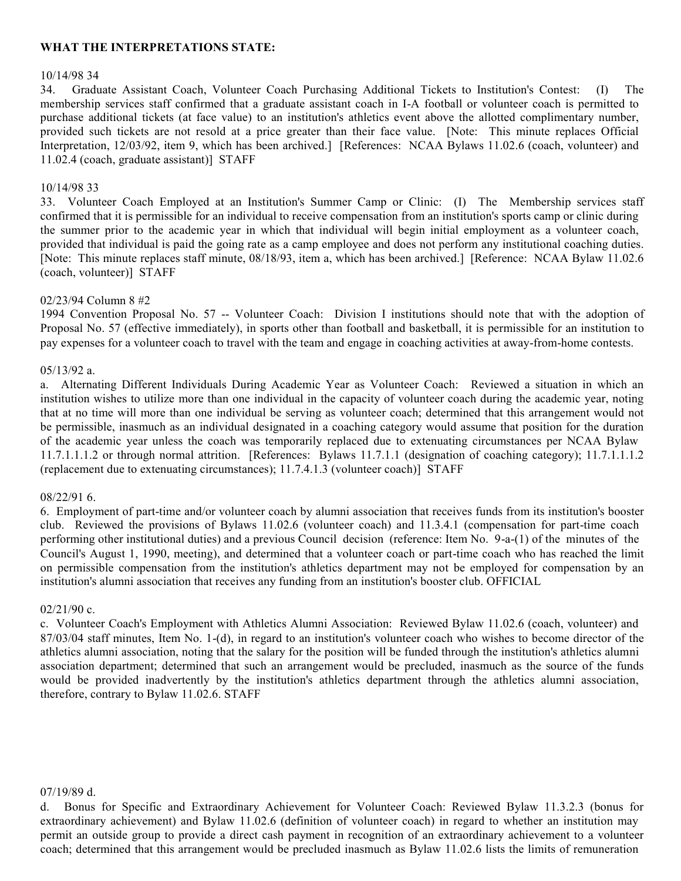# **WHAT THE INTERPRETATIONS STATE:**

### 10/14/98 34

34. Graduate Assistant Coach, Volunteer Coach Purchasing Additional Tickets to Institution's Contest: (I) The membership services staff confirmed that a graduate assistant coach in I-A football or volunteer coach is permitted to purchase additional tickets (at face value) to an institution's athletics event above the allotted complimentary number, provided such tickets are not resold at a price greater than their face value. [Note: This minute replaces Official Interpretation, 12/03/92, item 9, which has been archived.] [References: NCAA Bylaws 11.02.6 (coach, volunteer) and 11.02.4 (coach, graduate assistant)] STAFF

### 10/14/98 33

33. Volunteer Coach Employed at an Institution's Summer Camp or Clinic: (I) The Membership services staff confirmed that it is permissible for an individual to receive compensation from an institution's sports camp or clinic during the summer prior to the academic year in which that individual will begin initial employment as a volunteer coach, provided that individual is paid the going rate as a camp employee and does not perform any institutional coaching duties. [Note: This minute replaces staff minute, 08/18/93, item a, which has been archived.] [Reference: NCAA Bylaw 11.02.6 (coach, volunteer)] STAFF

### 02/23/94 Column 8 #2

1994 Convention Proposal No. 57 -- Volunteer Coach: Division I institutions should note that with the adoption of Proposal No. 57 (effective immediately), in sports other than football and basketball, it is permissible for an institution to pay expenses for a volunteer coach to travel with the team and engage in coaching activities at away-from-home contests.

### 05/13/92 a.

a. Alternating Different Individuals During Academic Year as Volunteer Coach: Reviewed a situation in which an institution wishes to utilize more than one individual in the capacity of volunteer coach during the academic year, noting that at no time will more than one individual be serving as volunteer coach; determined that this arrangement would not be permissible, inasmuch as an individual designated in a coaching category would assume that position for the duration of the academic year unless the coach was temporarily replaced due to extenuating circumstances per NCAA Bylaw 11.7.1.1.1.2 or through normal attrition. [References: Bylaws 11.7.1.1 (designation of coaching category); 11.7.1.1.1.2 (replacement due to extenuating circumstances); 11.7.4.1.3 (volunteer coach)] STAFF

### 08/22/91 6.

6. Employment of part-time and/or volunteer coach by alumni association that receives funds from its institution's booster club. Reviewed the provisions of Bylaws 11.02.6 (volunteer coach) and 11.3.4.1 (compensation for part-time coach performing other institutional duties) and a previous Council decision (reference: Item No. 9-a-(1) of the minutes of the Council's August 1, 1990, meeting), and determined that a volunteer coach or part-time coach who has reached the limit on permissible compensation from the institution's athletics department may not be employed for compensation by an institution's alumni association that receives any funding from an institution's booster club. OFFICIAL

### 02/21/90 c.

c. Volunteer Coach's Employment with Athletics Alumni Association: Reviewed Bylaw 11.02.6 (coach, volunteer) and 87/03/04 staff minutes, Item No. 1-(d), in regard to an institution's volunteer coach who wishes to become director of the athletics alumni association, noting that the salary for the position will be funded through the institution's athletics alumni association department; determined that such an arrangement would be precluded, inasmuch as the source of the funds would be provided inadvertently by the institution's athletics department through the athletics alumni association, therefore, contrary to Bylaw 11.02.6. STAFF

### 07/19/89 d.

d. Bonus for Specific and Extraordinary Achievement for Volunteer Coach: Reviewed Bylaw 11.3.2.3 (bonus for extraordinary achievement) and Bylaw 11.02.6 (definition of volunteer coach) in regard to whether an institution may permit an outside group to provide a direct cash payment in recognition of an extraordinary achievement to a volunteer coach; determined that this arrangement would be precluded inasmuch as Bylaw 11.02.6 lists the limits of remuneration